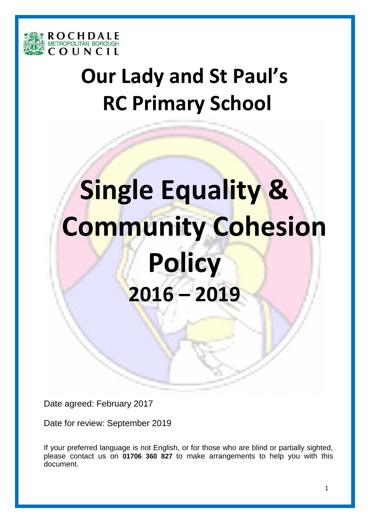

# **Our Lady and St Paul's RC Primary School**

# **Single Equality & Community Cohesion Policy 2016 – 2019**

Date agreed: February 2017

Date for review: September 2019

If your preferred language is not English, or for those who are blind or partially sighted, please contact us on **01706 360 827** to make arrangements to help you with this document.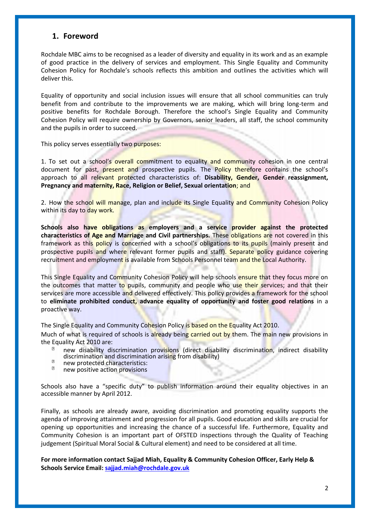# **1. Foreword**

Rochdale MBC aims to be recognised as a leader of diversity and equality in its work and as an example of good practice in the delivery of services and employment. This Single Equality and Community Cohesion Policy for Rochdale's schools reflects this ambition and outlines the activities which will deliver this.

Equality of opportunity and social inclusion issues will ensure that all school communities can truly benefit from and contribute to the improvements we are making, which will bring long-term and positive benefits for Rochdale Borough. Therefore the school's Single Equality and Community Cohesion Policy will require ownership by Governors, senior leaders, all staff, the school community and the pupils in order to succeed.

This policy serves essentially two purposes:

1. To set out a school's overall commitment to equality and community cohesion in one central document for past, present and prospective pupils. The Policy therefore contains the school's approach to all relevant protected characteristics of: **Disability, Gender, Gender reassignment, Pregnancy and maternity, Race, Religion or Belief, Sexual orientation**; and

2. How the school will manage, plan and include its Single Equality and Community Cohesion Policy within its day to day work.

**Schools also have obligations as employers and a service provider against the protected characteristics of Age and Marriage and Civil partnerships.** These obligations are not covered in this framework as this policy is concerned with a school's obligations to its pupils (mainly present and prospective pupils and where relevant former pupils and staff). Separate policy guidance covering recruitment and employment is available from Schools Personnel team and the Local Authority.

This Single Equality and Community Cohesion Policy will help schools ensure that they focus more on the outcomes that matter to pupils, community and people who use their services; and that their services are more accessible and delivered effectively. This policy provides a framework for the school to **eliminate prohibited conduct, advance equality of opportunity and foster good relations** in a proactive way.

The Single Equality and Community Cohesion Policy is based on the Equality Act 2010.

Much of what is required of schools is already being carried out by them. The main new provisions in the Equality Act 2010 are:

- new disability discrimination provisions (direct disability discrimination, indirect disability discrimination and discrimination arising from disability)  $\sqrt{2}$
- new protected characteristics:
- $\overline{a}$ new positive action provisions

Schools also have a "specific duty" to publish information around their equality objectives in an accessible manner by April 2012.

Finally, as schools are already aware, avoiding discrimination and promoting equality supports the agenda of improving attainment and progression for all pupils. Good education and skills are crucial for opening up opportunities and increasing the chance of a successful life. Furthermore, Equality and Community Cohesion is an important part of OFSTED inspections through the Quality of Teaching judgement (Spiritual Moral Social & Cultural element) and need to be considered at all time.

**For more information contact Sajjad Miah, Equality & Community Cohesion Officer, Early Help & Schools Service Email: sajjad.miah@rochdale.gov.uk**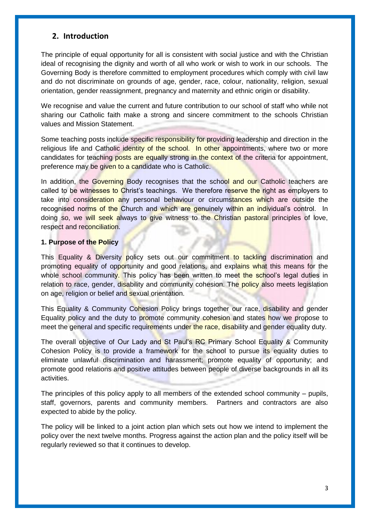# **2. Introduction**

The principle of equal opportunity for all is consistent with social justice and with the Christian ideal of recognising the dignity and worth of all who work or wish to work in our schools. The Governing Body is therefore committed to employment procedures which comply with civil law and do not discriminate on grounds of age, gender, race, colour, nationality, religion, sexual orientation, gender reassignment, pregnancy and maternity and ethnic origin or disability.

We recognise and value the current and future contribution to our school of staff who while not sharing our Catholic faith make a strong and sincere commitment to the schools Christian values and Mission Statement.

Some teaching posts include specific responsibility for providing leadership and direction in the religious life and Catholic identity of the school. In other appointments, where two or more candidates for teaching posts are equally strong in the context of the criteria for appointment, preference may be given to a candidate who is Catholic.

In addition, the Governing Body recognises that the school and our Catholic teachers are called to be witnesses to Christ's teachings. We therefore reserve the right as employers to take into consideration any personal behaviour or circumstances which are outside the recognised norms of the Church and which are genuinely within an individual's control. In doing so, we will seek always to give witness to the Christian pastoral principles of love, respect and reconciliation.

#### **1. Purpose of the Policy**

This Equality & Diversity policy sets out our commitment to tackling discrimination and promoting equality of opportunity and good relations, and explains what this means for the whole school community. This policy has been written to meet the school's legal duties in relation to race, gender, disability and community cohesion. The policy also meets legislation on age, religion or belief and sexual orientation.

This Equality & Community Cohesion Policy brings together our race, disability and gender Equality policy and the duty to promote community cohesion and states how we propose to meet the general and specific requirements under the race, disability and gender equality duty.

The overall objective of Our Lady and St Paul's RC Primary School Equality & Community Cohesion Policy is to provide a framework for the school to pursue its equality duties to eliminate unlawful discrimination and harassment; promote equality of opportunity; and promote good relations and positive attitudes between people of diverse backgrounds in all its activities.

The principles of this policy apply to all members of the extended school community – pupils, staff, governors, parents and community members. Partners and contractors are also expected to abide by the policy.

The policy will be linked to a joint action plan which sets out how we intend to implement the policy over the next twelve months. Progress against the action plan and the policy itself will be regularly reviewed so that it continues to develop.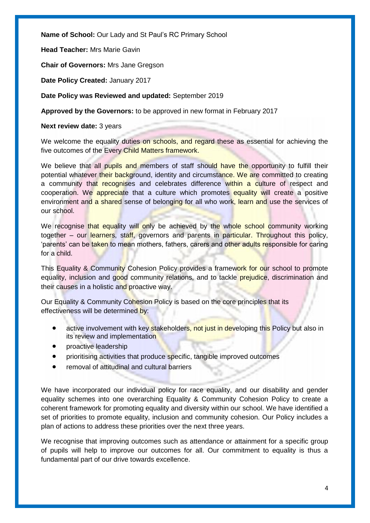**Name of School:** Our Lady and St Paul's RC Primary School

**Head Teacher:** Mrs Marie Gavin

**Chair of Governors:** Mrs Jane Gregson

**Date Policy Created:** January 2017

**Date Policy was Reviewed and updated:** September 2019

**Approved by the Governors:** to be approved in new format in February 2017

**Next review date:** 3 years

We welcome the equality duties on schools, and regard these as essential for achieving the five outcomes of the Every Child Matters framework.

We believe that all pupils and members of staff should have the opportunity to fulfill their potential whatever their background, identity and circumstance. We are committed to creating a community that recognises and celebrates difference within a culture of respect and cooperation. We appreciate that a culture which promotes equality will create a positive environment and a shared sense of belonging for all who work, learn and use the services of our school.

We recognise that equality will only be achieved by the whole school community working together – our learners, staff, governors and parents in particular. Throughout this policy, 'parents' can be taken to mean mothers, fathers, carers and other adults responsible for caring for a child.

This Equality & Community Cohesion Policy provides a framework for our school to promote equality, inclusion and good community relations, and to tackle prejudice, discrimination and their causes in a holistic and proactive way.

Our Equality & Community Cohesion Policy is based on the core principles that its effectiveness will be determined by:

- active involvement with key stakeholders, not just in developing this Policy but also in its review and implementation
- proactive leadership
- prioritising activities that produce specific, tangible improved outcomes
- removal of attitudinal and cultural barriers

We have incorporated our individual policy for race equality, and our disability and gender equality schemes into one overarching Equality & Community Cohesion Policy to create a coherent framework for promoting equality and diversity within our school. We have identified a set of priorities to promote equality, inclusion and community cohesion. Our Policy includes a plan of actions to address these priorities over the next three years.

We recognise that improving outcomes such as attendance or attainment for a specific group of pupils will help to improve our outcomes for all. Our commitment to equality is thus a fundamental part of our drive towards excellence.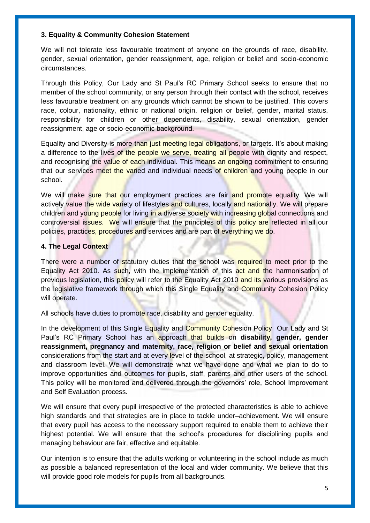#### **3. Equality & Community Cohesion Statement**

We will not tolerate less favourable treatment of anyone on the grounds of race, disability, gender, sexual orientation, gender reassignment, age, religion or belief and socio-economic circumstances.

Through this Policy, Our Lady and St Paul's RC Primary School seeks to ensure that no member of the school community, or any person through their contact with the school, receives less favourable treatment on any grounds which cannot be shown to be justified. This covers race, colour, nationality, ethnic or national origin, religion or belief, gender, marital status, responsibility for children or other dependents, disability, sexual orientation, gender reassignment, age or socio-economic background.

Equality and Diversity is more than just meeting legal obligations, or targets. It's about making a difference to the lives of the people we serve, treating all people with dignity and respect, and recognising the value of each individual. This means an ongoing commitment to ensuring that our services meet the varied and individual needs of children and young people in our school.

We will make sure that our employment practices are fair and promote equality. We will actively value the wide variety of lifestyles and cultures, locally and nationally. We will prepare children and young people for living in a diverse society with increasing global connections and controversial issues. We will ensure that the principles of this policy are reflected in all our policies, practices, procedures and services and are part of everything we do.

#### **4. The Legal Context**

There were a number of statutory duties that the school was required to meet prior to the Equality Act 2010. As such, with the implementation of this act and the harmonisation of previous legislation, this policy will refer to the Equality Act 2010 and its various provisions as the legislative framework through which this Single Equality and Community Cohesion Policy will operate.

All schools have duties to promote race, disability and gender equality.

In the development of this Single Equality and Community Cohesion Policy Our Lady and St Paul's RC Primary School has an approach that builds on **disability, gender, gender reassignment, pregnancy and maternity, race, religion or belief and sexual orientation**  considerations from the start and at every level of the school, at strategic, policy, management and classroom level. We will demonstrate what we have done and what we plan to do to improve opportunities and outcomes for pupils, staff, parents and other users of the school. This policy will be monitored and delivered through the governors' role, School Improvement and Self Evaluation process.

We will ensure that every pupil irrespective of the protected characteristics is able to achieve high standards and that strategies are in place to tackle under–achievement. We will ensure that every pupil has access to the necessary support required to enable them to achieve their highest potential. We will ensure that the school's procedures for disciplining pupils and managing behaviour are fair, effective and equitable.

Our intention is to ensure that the adults working or volunteering in the school include as much as possible a balanced representation of the local and wider community. We believe that this will provide good role models for pupils from all backgrounds.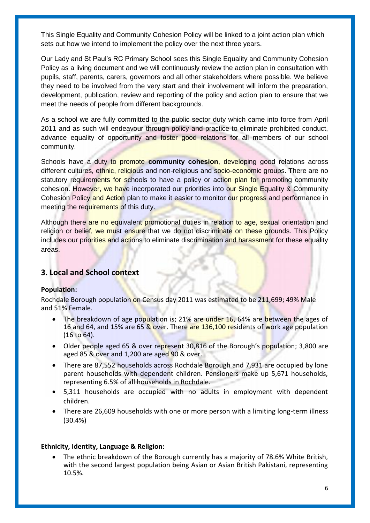This Single Equality and Community Cohesion Policy will be linked to a joint action plan which sets out how we intend to implement the policy over the next three years.

Our Lady and St Paul's RC Primary School sees this Single Equality and Community Cohesion Policy as a living document and we will continuously review the action plan in consultation with pupils, staff, parents, carers, governors and all other stakeholders where possible. We believe they need to be involved from the very start and their involvement will inform the preparation, development, publication, review and reporting of the policy and action plan to ensure that we meet the needs of people from different backgrounds.

As a school we are fully committed to the public sector duty which came into force from April 2011 and as such will endeavour through policy and practice to eliminate prohibited conduct, advance equality of opportunity and foster good relations for all members of our school community.

Schools have a duty to promote **community cohesion**, developing good relations across different cultures, ethnic, religious and non-religious and socio-economic groups. There are no statutory requirements for schools to have a policy or action plan for promoting community cohesion. However, we have incorporated our priorities into our Single Equality & Community Cohesion Policy and Action plan to make it easier to monitor our progress and performance in meeting the requirements of this duty.

Although there are no equivalent promotional duties in relation to age, sexual orientation and religion or belief, we must ensure that we do not discriminate on these grounds. This Policy includes our priorities and actions to eliminate discrimination and harassment for these equality areas.

# **3. Local and School context**

# **Population:**

Rochdale Borough population on Census day 2011 was estimated to be 211,699; 49% Male and 51% Female.

- The breakdown of age population is; 21% are under 16, 64% are between the ages of 16 and 64, and 15% are 65 & over. There are 136,100 residents of work age population (16 to 64).
- Older people aged 65 & over represent 30,816 of the Borough's population; 3,800 are aged 85 & over and 1,200 are aged 90 & over.
- There are 87,552 households across Rochdale Borough and 7,931 are occupied by lone parent households with dependent children. Pensioners make up 5,671 households, representing 6.5% of all households in Rochdale.
- 5,311 households are occupied with no adults in employment with dependent children.
- There are 26,609 households with one or more person with a limiting long-term illness (30.4%)

# **Ethnicity, Identity, Language & Religion:**

 The ethnic breakdown of the Borough currently has a majority of 78.6% White British, with the second largest population being Asian or Asian British Pakistani, representing 10.5%.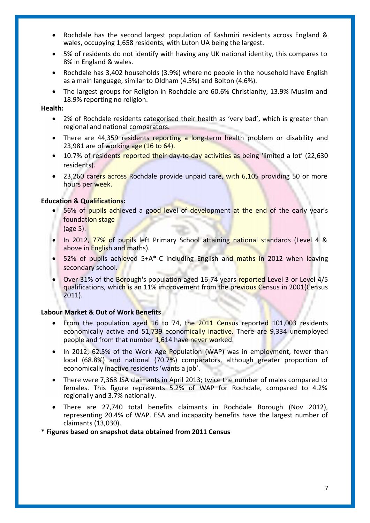- Rochdale has the second largest population of Kashmiri residents across England & wales, occupying 1,658 residents, with Luton UA being the largest.
- 5% of residents do not identify with having any UK national identity, this compares to 8% in England & wales.
- Rochdale has 3,402 households (3.9%) where no people in the household have English as a main language, similar to Oldham (4.5%) and Bolton (4.6%).
- The largest groups for Religion in Rochdale are 60.6% Christianity, 13.9% Muslim and 18.9% reporting no religion.

#### **Health:**

- 2% of Rochdale residents categorised their health as 'very bad', which is greater than regional and national comparators.
- There are 44,359 residents reporting a long-term health problem or disability and 23,981 are of working age (16 to 64).
- 10.7% of residents reported their day-to-day activities as being 'limited a lot' (22,630 residents).
- 23,260 carers across Rochdale provide unpaid care, with 6,105 providing 50 or more hours per week.

#### **Education & Qualifications:**

- 56% of pupils achieved a good level of development at the end of the early year's foundation stage
	- (age 5).
- In 2012, 77% of pupils left Primary School attaining national standards (Level 4 & above in English and maths).
- 52% of pupils achieved 5+A\*-C including English and maths in 2012 when leaving secondary school.
- Over 31% of the Borough's population aged 16-74 years reported Level 3 or Level 4/5 qualifications, which is an 11% improvement from the previous Census in 2001(Census 2011).

#### **Labour Market & Out of Work Benefits**

- From the population aged 16 to 74, the 2011 Census reported 101,003 residents economically active and 51,739 economically inactive. There are 9,334 unemployed people and from that number 1,614 have never worked.
- In 2012, 62.5% of the Work Age Population (WAP) was in employment, fewer than local (68.8%) and national (70.7%) comparators, although greater proportion of economically inactive residents 'wants a job'.
- There were 7,368 JSA claimants in April 2013; twice the number of males compared to females. This figure represents 5.2% of WAP for Rochdale, compared to 4.2% regionally and 3.7% nationally.
- There are 27,740 total benefits claimants in Rochdale Borough (Nov 2012), representing 20.4% of WAP. ESA and incapacity benefits have the largest number of claimants (13,030).

#### **\* Figures based on snapshot data obtained from 2011 Census**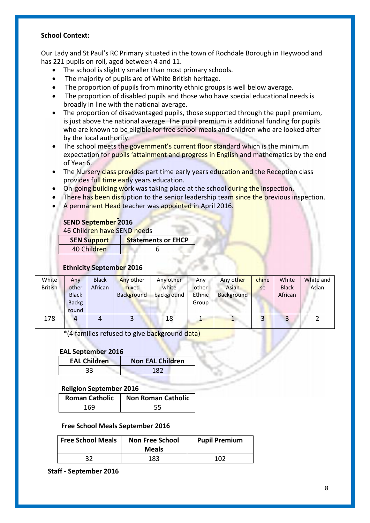#### **School Context:**

Our Lady and St Paul's RC Primary situated in the town of Rochdale Borough in Heywood and has 221 pupils on roll, aged between 4 and 11.

- The school is slightly smaller than most primary schools.
- The majority of pupils are of White British heritage.
- The proportion of pupils from minority ethnic groups is well below average.
- The proportion of disabled pupils and those who have special educational needs is broadly in line with the national average.
- The proportion of disadvantaged pupils, those supported through the pupil premium, is just above the national average. The pupil premium is additional funding for pupils who are known to be eligible for free school meals and children who are looked after by the local authority.
- The school meets the government's current floor standard which is the minimum expectation for pupils 'attainment and progress in English and mathematics by the end of Year 6.
- The Nursery class provides part time early years education and the Reception class provides full time early years education.
- On-going building work was taking place at the school during the inspection.
- There has been disruption to the senior leadership team since the previous inspection.
- A permanent Head teacher was appointed in April 2016.

# **SEND September 2016**

46 Children have SEND needs

| <b>SEN Support</b> | <b>Statements or EHCP</b> |
|--------------------|---------------------------|
| 40 Children        |                           |

# **Ethnicity September 2016**

| White          | Any          | <b>Black</b> | Any other  | Any other  | Any    | Any other  | chine | White        | White and |
|----------------|--------------|--------------|------------|------------|--------|------------|-------|--------------|-----------|
| <b>British</b> | other        | African      | mixed      | white      | other  | Asian      | se    | <b>Black</b> | Asian     |
|                | <b>Black</b> |              | Background | background | Ethnic | Background |       | African      |           |
|                | <b>Backg</b> |              |            |            | Group  |            |       |              |           |
|                | round        |              |            |            |        |            |       |              |           |
| 178            |              |              |            | 18         |        |            |       |              |           |

\*(4 families refused to give background data)

#### **EAL September 2016**

| <b>EAL Children</b> | <b>Non EAL Children</b> |
|---------------------|-------------------------|
|                     | o.                      |

#### **Religion September 2016**

| <b>Roman Catholic</b> | <b>Non Roman Catholic</b> |
|-----------------------|---------------------------|
| 169                   |                           |

#### **Free School Meals September 2016**

| Free School Meals | <b>Non Free School</b><br><b>Meals</b> | <b>Pupil Premium</b> |
|-------------------|----------------------------------------|----------------------|
| 32                | 183                                    | 102                  |

 **Staff - September 2016**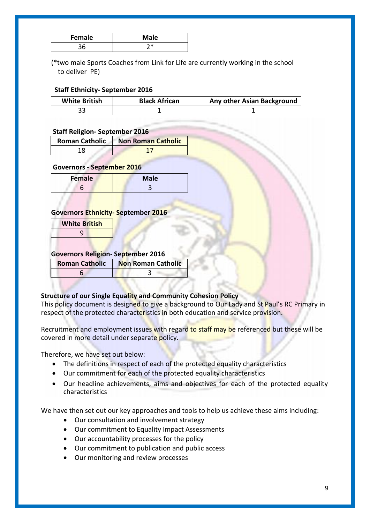| Female | <b>Male</b> |
|--------|-------------|
|        |             |

 (\*two male Sports Coaches from Link for Life are currently working in the school to deliver PE)

# **Staff Ethnicity- September 2016**

| <b>White British</b> | <b>Black African</b> | <b>Any other Asian Background</b> |
|----------------------|----------------------|-----------------------------------|
|                      |                      |                                   |

# **Staff Religion- September 2016**

| <b>Roman Catholic</b> | <b>Non Roman Catholic</b> |
|-----------------------|---------------------------|
| 1 Q                   |                           |

# **Governors - September 2016**

| <b>Female</b> | <b>Male</b> |
|---------------|-------------|
|               |             |

#### **Governors Ethnicity- September 2016**

| <b>White British</b> |
|----------------------|
| 9                    |
|                      |

# **Governors Religion- September 2016**

| <b>Roman Catholic</b> | <b>Non Roman Catholic</b> |
|-----------------------|---------------------------|
|                       |                           |

# **Structure of our Single Equality and Community Cohesion Policy**

This policy document is designed to give a background to Our Lady and St Paul's RC Primary in respect of the protected characteristics in both education and service provision.

Recruitment and employment issues with regard to staff may be referenced but these will be covered in more detail under separate policy.

Therefore, we have set out below:

- The definitions in respect of each of the protected equality characteristics
- Our commitment for each of the protected equality characteristics
- Our headline achievements, aims and objectives for each of the protected equality characteristics

We have then set out our key approaches and tools to help us achieve these aims including:

- Our consultation and involvement strategy
- Our commitment to Equality Impact Assessments
- Our accountability processes for the policy
- Our commitment to publication and public access
- Our monitoring and review processes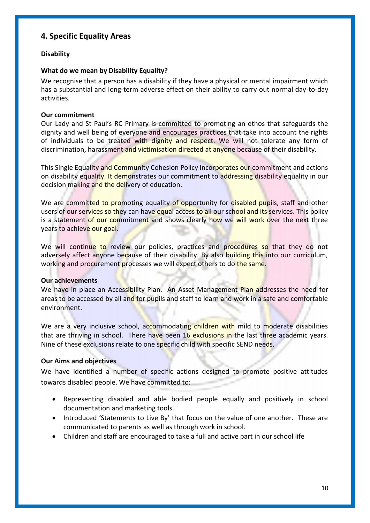# **4. Specific Equality Areas**

# **Disability**

# **What do we mean by Disability Equality?**

We recognise that a person has a disability if they have a physical or mental impairment which has a substantial and long-term adverse effect on their ability to carry out normal day-to-day activities.

# **Our commitment**

Our Lady and St Paul's RC Primary is committed to promoting an ethos that safeguards the dignity and well being of everyone and encourages practices that take into account the rights of individuals to be treated with dignity and respect. We will not tolerate any form of discrimination, harassment and victimisation directed at anyone because of their disability.

This Single Equality and Community Cohesion Policy incorporates our commitment and actions on disability equality. It demonstrates our commitment to addressing disability equality in our decision making and the delivery of education.

We are committed to promoting equality of opportunity for disabled pupils, staff and other users of our services so they can have equal access to all our school and its services. This policy is a statement of our commitment and shows clearly how we will work over the next three years to achieve our goal.

We will continue to review our policies, practices and procedures so that they do not adversely affect anyone because of their disability. By also building this into our curriculum, working and procurement processes we will expect others to do the same.

# **Our achievements**

We have in place an Accessibility Plan. An Asset Management Plan addresses the need for areas to be accessed by all and for pupils and staff to learn and work in a safe and comfortable environment.

We are a very inclusive school, accommodating children with mild to moderate disabilities that are thriving in school. There have been 16 exclusions in the last three academic years. Nine of these exclusions relate to one specific child with specific SEND needs.

# **Our Aims and objectives**

We have identified a number of specific actions designed to promote positive attitudes towards disabled people. We have committed to:

- Representing disabled and able bodied people equally and positively in school documentation and marketing tools.
- Introduced 'Statements to Live By' that focus on the value of one another. These are communicated to parents as well as through work in school.
- Children and staff are encouraged to take a full and active part in our school life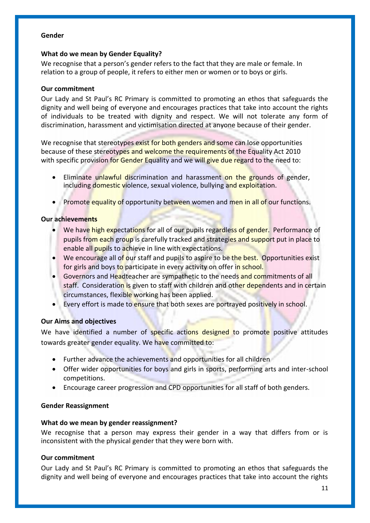#### **Gender**

# **What do we mean by Gender Equality?**

We recognise that a person's gender refers to the fact that they are male or female. In relation to a group of people, it refers to either men or women or to boys or girls.

# **Our commitment**

Our Lady and St Paul's RC Primary is committed to promoting an ethos that safeguards the dignity and well being of everyone and encourages practices that take into account the rights of individuals to be treated with dignity and respect. We will not tolerate any form of discrimination, harassment and victimisation directed at anyone because of their gender.

We recognise that stereotypes exist for both genders and some can lose opportunities because of these stereotypes and welcome the requirements of the Equality Act 2010 with specific provision for Gender Equality and we will give due regard to the need to:

- Eliminate unlawful discrimination and harassment on the grounds of gender, including domestic violence, sexual violence, bullying and exploitation.
- Promote equality of opportunity between women and men in all of our functions.

# **Our achievements**

- We have high expectations for all of our pupils regardless of gender. Performance of pupils from each group is carefully tracked and strategies and support put in place to enable all pupils to achieve in line with expectations.
- We encourage all of our staff and pupils to aspire to be the best. Opportunities exist for girls and boys to participate in every activity on offer in school.
- Governors and Headteacher are sympathetic to the needs and commitments of all staff. Consideration is given to staff with children and other dependents and in certain circumstances, flexible working has been applied.
- Every effort is made to ensure that both sexes are portrayed positively in school.

# **Our Aims and objectives**

We have identified a number of specific actions designed to promote positive attitudes towards greater gender equality. We have committed to:

- Further advance the achievements and opportunities for all children
- Offer wider opportunities for boys and girls in sports, performing arts and inter-school competitions.
- Encourage career progression and CPD opportunities for all staff of both genders.

# **Gender Reassignment**

# **What do we mean by gender reassignment?**

We recognise that a person may express their gender in a way that differs from or is inconsistent with the physical gender that they were born with.

# **Our commitment**

Our Lady and St Paul's RC Primary is committed to promoting an ethos that safeguards the dignity and well being of everyone and encourages practices that take into account the rights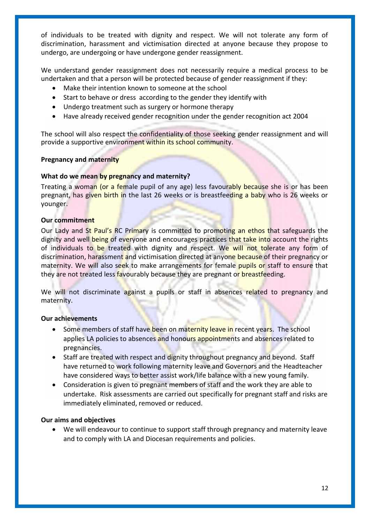of individuals to be treated with dignity and respect. We will not tolerate any form of discrimination, harassment and victimisation directed at anyone because they propose to undergo, are undergoing or have undergone gender reassignment.

We understand gender reassignment does not necessarily require a medical process to be undertaken and that a person will be protected because of gender reassignment if they:

- Make their intention known to someone at the school
- Start to behave or dress according to the gender they identify with
- Undergo treatment such as surgery or hormone therapy
- Have already received gender recognition under the gender recognition act 2004

The school will also respect the confidentiality of those seeking gender reassignment and will provide a supportive environment within its school community.

#### **Pregnancy and maternity**

#### **What do we mean by pregnancy and maternity?**

Treating a woman (or a female pupil of any age) less favourably because she is or has been pregnant, has given birth in the last 26 weeks or is breastfeeding a baby who is 26 weeks or younger.

#### **Our commitment**

Our Lady and St Paul's RC Primary is committed to promoting an ethos that safeguards the dignity and well being of everyone and encourages practices that take into account the rights of individuals to be treated with dignity and respect. We will not tolerate any form of discrimination, harassment and victimisation directed at anyone because of their pregnancy or maternity. We will also seek to make arrangements for female pupils or staff to ensure that they are not treated less favourably because they are pregnant or breastfeeding.

We will not discriminate against a pupils or staff in absences related to pregnancy and maternity.

# **Our achievements**

- Some members of staff have been on maternity leave in recent years. The school applies LA policies to absences and honours appointments and absences related to pregnancies.
- Staff are treated with respect and dignity throughout pregnancy and beyond. Staff have returned to work following maternity leave and Governors and the Headteacher have considered ways to better assist work/life balance with a new young family.
- Consideration is given to pregnant members of staff and the work they are able to undertake. Risk assessments are carried out specifically for pregnant staff and risks are immediately eliminated, removed or reduced.

# **Our aims and objectives**

 We will endeavour to continue to support staff through pregnancy and maternity leave and to comply with LA and Diocesan requirements and policies.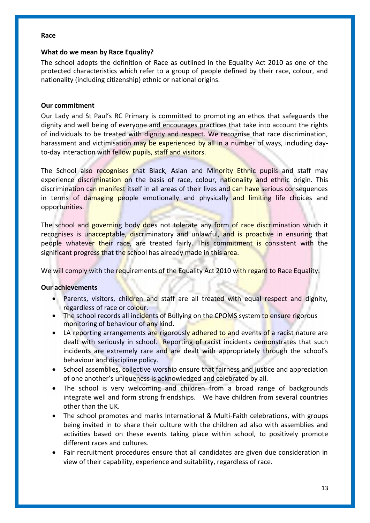#### **Race**

#### **What do we mean by Race Equality?**

The school adopts the definition of Race as outlined in the Equality Act 2010 as one of the protected characteristics which refer to a group of people defined by their race, colour, and nationality (including citizenship) ethnic or national origins.

### **Our commitment**

Our Lady and St Paul's RC Primary is committed to promoting an ethos that safeguards the dignity and well being of everyone and encourages practices that take into account the rights of individuals to be treated with dignity and respect. We recognise that race discrimination, harassment and victimisation may be experienced by all in a number of ways, including dayto-day interaction with fellow pupils, staff and visitors.

The School also recognises that Black, Asian and Minority Ethnic pupils and staff may experience discrimination on the basis of race, colour, nationality and ethnic origin. This discrimination can manifest itself in all areas of their lives and can have serious consequences in terms of damaging people emotionally and physically and limiting life choices and opportunities.

The school and governing body does not tolerate any form of race discrimination which it recognises is unacceptable, discriminatory and unlawful, and is proactive in ensuring that people whatever their race, are treated fairly. This commitment is consistent with the significant progress that the school has already made in this area.

We will comply with the requirements of the Equality Act 2010 with regard to Race Equality.

# **Our achievements**

- Parents, visitors, children and staff are all treated with equal respect and dignity, regardless of race or colour.
- The school records all incidents of Bullying on the CPOMS system to ensure rigorous monitoring of behaviour of any kind.
- LA reporting arrangements are rigorously adhered to and events of a racist nature are dealt with seriously in school. Reporting of racist incidents demonstrates that such incidents are extremely rare and are dealt with appropriately through the school's behaviour and discipline policy.
- School assemblies, collective worship ensure that fairness and justice and appreciation of one another's uniqueness is acknowledged and celebrated by all.
- The school is very welcoming and children from a broad range of backgrounds integrate well and form strong friendships. We have children from several countries other than the UK.
- The school promotes and marks International & Multi-Faith celebrations, with groups being invited in to share their culture with the children ad also with assemblies and activities based on these events taking place within school, to positively promote different races and cultures.
- Fair recruitment procedures ensure that all candidates are given due consideration in view of their capability, experience and suitability, regardless of race.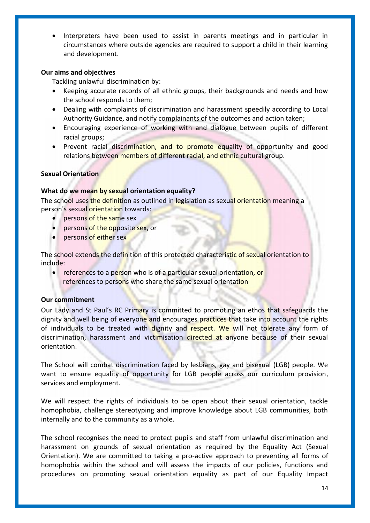Interpreters have been used to assist in parents meetings and in particular in circumstances where outside agencies are required to support a child in their learning and development.

### **Our aims and objectives**

Tackling unlawful discrimination by:

- Keeping accurate records of all ethnic groups, their backgrounds and needs and how the school responds to them;
- Dealing with complaints of discrimination and harassment speedily according to Local Authority Guidance, and notify complainants of the outcomes and action taken;
- Encouraging experience of working with and dialogue between pupils of different racial groups;
- Prevent racial discrimination, and to promote equality of opportunity and good relations between members of different racial, and ethnic cultural group.

# **Sexual Orientation**

#### **What do we mean by sexual orientation equality?**

The school uses the definition as outlined in legislation as sexual orientation meaning a person's sexual orientation towards:

- persons of the same sex
- persons of the opposite sex, or
- persons of either sex

The school extends the definition of this protected characteristic of sexual orientation to include:

• references to a person who is of a particular sexual orientation, or references to persons who share the same sexual orientation

#### **Our commitment**

Our Lady and St Paul's RC Primary is committed to promoting an ethos that safeguards the dignity and well being of everyone and encourages practices that take into account the rights of individuals to be treated with dignity and respect. We will not tolerate any form of discrimination, harassment and victimisation directed at anyone because of their sexual orientation.

The School will combat discrimination faced by lesbians, gay and bisexual (LGB) people. We want to ensure equality of opportunity for LGB people across our curriculum provision, services and employment.

We will respect the rights of individuals to be open about their sexual orientation, tackle homophobia, challenge stereotyping and improve knowledge about LGB communities, both internally and to the community as a whole.

The school recognises the need to protect pupils and staff from unlawful discrimination and harassment on grounds of sexual orientation as required by the Equality Act (Sexual Orientation). We are committed to taking a pro-active approach to preventing all forms of homophobia within the school and will assess the impacts of our policies, functions and procedures on promoting sexual orientation equality as part of our Equality Impact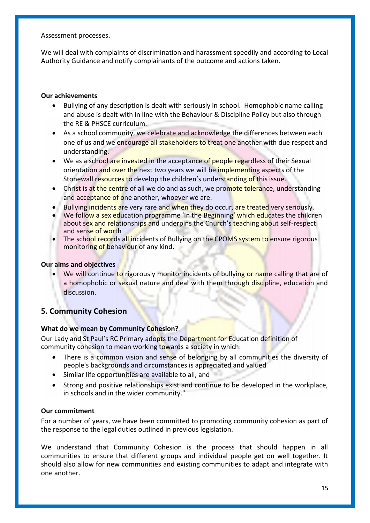Assessment processes.

We will deal with complaints of discrimination and harassment speedily and according to Local Authority Guidance and notify complainants of the outcome and actions taken.

# **Our achievements**

- Bullying of any description is dealt with seriously in school. Homophobic name calling and abuse is dealt with in line with the Behaviour & Discipline Policy but also through the RE & PHSCE curriculum.
- As a school community, we celebrate and acknowledge the differences between each one of us and we encourage all stakeholders to treat one another with due respect and understanding.
- We as a school are invested in the acceptance of people regardless of their Sexual orientation and over the next two years we will be implementing aspects of the Stonewall resources to develop the children's understanding of this issue.
- Christ is at the centre of all we do and as such, we promote tolerance, understanding and acceptance of one another, whoever we are.
- Bullying incidents are very rare and when they do occur, are treated very seriously.
- We follow a sex education programme 'In the Beginning' which educates the children about sex and relationships and underpins the Church's teaching about self-respect and sense of worth
- The school records all incidents of Bullying on the CPOMS system to ensure rigorous monitoring of behaviour of any kind.

#### **Our aims and objectives**

• We will continue to rigorously monitor incidents of bullying or name calling that are of a homophobic or sexual nature and deal with them through discipline, education and discussion.

# **5. Community Cohesion**

# **What do we mean by Community Cohesion?**

Our Lady and St Paul's RC Primary adopts the Department for Education definition of community cohesion to mean working towards a society in which:

- There is a common vision and sense of belonging by all communities the diversity of people's backgrounds and circumstances is appreciated and valued
- Similar life opportunities are available to all, and
- Strong and positive relationships exist and continue to be developed in the workplace, in schools and in the wider community."

#### **Our commitment**

For a number of years, we have been committed to promoting community cohesion as part of the response to the legal duties outlined in previous legislation.

We understand that Community Cohesion is the process that should happen in all communities to ensure that different groups and individual people get on well together. It should also allow for new communities and existing communities to adapt and integrate with one another.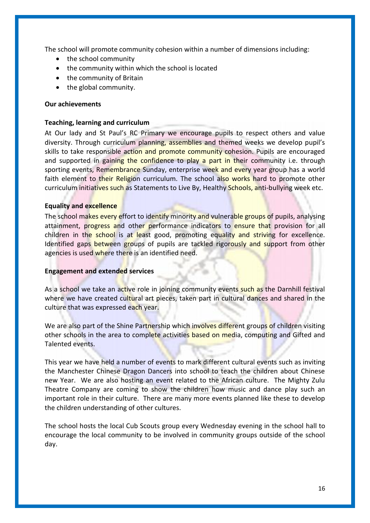The school will promote community cohesion within a number of dimensions including:

- the school community
- the community within which the school is located
- the community of Britain
- the global community.

### **Our achievements**

### **Teaching, learning and curriculum**

At Our lady and St Paul's RC Primary we encourage pupils to respect others and value diversity. Through curriculum planning, assemblies and themed weeks we develop pupil's skills to take responsible action and promote community cohesion. Pupils are encouraged and supported in gaining the confidence to play a part in their community i.e. through sporting events, Remembrance Sunday, enterprise week and every year group has a world faith element to their Religion curriculum. The school also works hard to promote other curriculum initiatives such as Statements to Live By, Healthy Schools, anti-bullying week etc.

# **Equality and excellence**

The school makes every effort to identify minority and vulnerable groups of pupils, analysing attainment, progress and other performance indicators to ensure that provision for all children in the school is at least good, promoting equality and striving for excellence. Identified gaps between groups of pupils are tackled rigorously and support from other agencies is used where there is an identified need.

#### **Engagement and extended services**

As a school we take an active role in joining community events such as the Darnhill festival where we have created cultural art pieces, taken part in cultural dances and shared in the culture that was expressed each year.

We are also part of the Shine Partnership which involves different groups of children visiting other schools in the area to complete activities based on media, computing and Gifted and Talented events.

This year we have held a number of events to mark different cultural events such as inviting the Manchester Chinese Dragon Dancers into school to teach the children about Chinese new Year. We are also hosting an event related to the African culture. The Mighty Zulu Theatre Company are coming to show the children how music and dance play such an important role in their culture. There are many more events planned like these to develop the children understanding of other cultures.

The school hosts the local Cub Scouts group every Wednesday evening in the school hall to encourage the local community to be involved in community groups outside of the school day.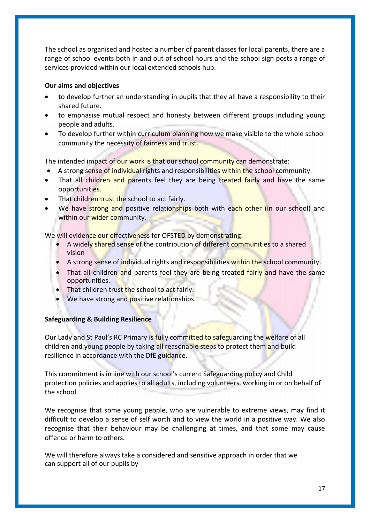The school as organised and hosted a number of parent classes for local parents, there are a range of school events both in and out of school hours and the school sign posts a range of services provided within our local extended schools hub.

# **Our aims and objectives**

- to develop further an understanding in pupils that they all have a responsibility to their shared future.
- to emphasise mutual respect and honesty between different groups including young people and adults.
- To develop further within curriculum planning how we make visible to the whole school community the necessity of fairness and trust.

The intended impact of our work is that our school community can demonstrate:

- A strong sense of individual rights and responsibilities within the school community.
- That all children and parents feel they are being treated fairly and have the same opportunities.
- That children trust the school to act fairly.
- We have strong and positive relationships both with each other (in our school) and within our wider community.

We will evidence our effectiveness for OFSTED by demonstrating:

- A widely shared sense of the contribution of different communities to a shared vision
- A strong sense of individual rights and responsibilities within the school community.
- That all children and parents feel they are being treated fairly and have the same opportunities.
- That children trust the school to act fairly.
- We have strong and **positive relationships.**

# **Safeguarding & Building Resilience**

Our Lady and St Paul's RC Primary is fully committed to safeguarding the welfare of all children and young people by taking all reasonable steps to protect them and build resilience in accordance with the DfE guidance.

This commitment is in line with our school's current Safeguarding policy and Child protection policies and applies to all adults, including volunteers, working in or on behalf of the school.

We recognise that some young people, who are vulnerable to extreme views, may find it difficult to develop a sense of self worth and to view the world in a positive way. We also recognise that their behaviour may be challenging at times, and that some may cause offence or harm to others.

We will therefore always take a considered and sensitive approach in order that we can support all of our pupils by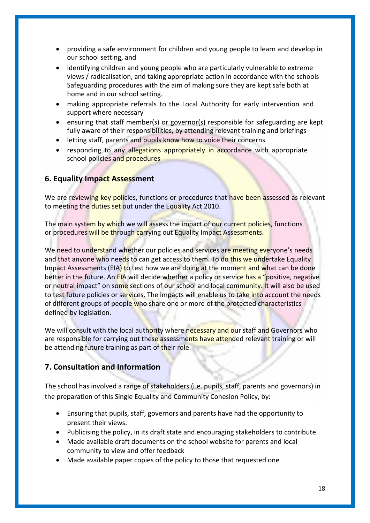- providing a safe environment for children and young people to learn and develop in our school setting, and
- identifying children and young people who are particularly vulnerable to extreme views / radicalisation, and taking appropriate action in accordance with the schools Safeguarding procedures with the aim of making sure they are kept safe both at home and in our school setting.
- making appropriate referrals to the Local Authority for early intervention and support where necessary
- ensuring that staff member(s) or governor(s) responsible for safeguarding are kept fully aware of their responsibilities, by attending relevant training and briefings
- letting staff, parents and pupils know how to voice their concerns
- responding to any allegations appropriately in accordance with appropriate school policies and procedures

# **6. Equality Impact Assessment**

We are reviewing key policies, functions or procedures that have been assessed as relevant to meeting the duties set out under the Equality Act 2010.

The main system by which we will assess the impact of our current policies, functions or procedures will be through carrying out Equality Impact Assessments.

We need to understand whether our policies and services are meeting everyone's needs and that anyone who needs to can get access to them. To do this we undertake Equality Impact Assessments (EIA) to test how we are doing at the moment and what can be done better in the future. An EIA will decide whether a policy or service has a "positive, negative or neutral impact" on some sections of our school and local community. It will also be used to test future policies or services. The impacts will enable us to take into account the needs of different groups of people who share one or more of the protected characteristics defined by legislation.

We will consult with the local authority where necessary and our staff and Governors who are responsible for carrying out these assessments have attended relevant training or will be attending future training as part of their role.

# **7. Consultation and Information**

The school has involved a range of stakeholders (i.e. pupils, staff, parents and governors) in the preparation of this Single Equality and Community Cohesion Policy, by:

- Ensuring that pupils, staff, governors and parents have had the opportunity to present their views.
- Publicising the policy, in its draft state and encouraging stakeholders to contribute.
- Made available draft documents on the school website for parents and local community to view and offer feedback
- Made available paper copies of the policy to those that requested one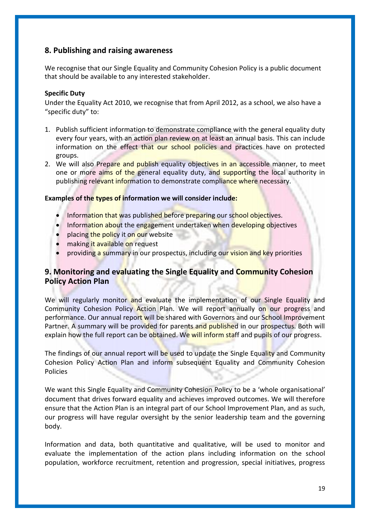# **8. Publishing and raising awareness**

We recognise that our Single Equality and Community Cohesion Policy is a public document that should be available to any interested stakeholder.

# **Specific Duty**

Under the Equality Act 2010, we recognise that from April 2012, as a school, we also have a "specific duty" to:

- 1. Publish sufficient information to demonstrate compliance with the general equality duty every four years, with an action plan review on at least an annual basis. This can include information on the effect that our school policies and practices have on protected groups.
- 2. We will also Prepare and publish equality objectives in an accessible manner, to meet one or more aims of the general equality duty, and supporting the local authority in publishing relevant information to demonstrate compliance where necessary.

# **Examples of the types of information we will consider include:**

- Information that was published before preparing our school objectives.
- Information about the engagement undertaken when developing objectives
- placing the policy it on our website
- making it available on request
- **•** providing a summary in our prospectus, including our vision and key priorities

# **9. Monitoring and evaluating the Single Equality and Community Cohesion Policy Action Plan**

We will regularly monitor and evaluate the implementation of our Single Equality and Community Cohesion Policy Action Plan. We will report annually on our progress and performance. Our annual report will be shared with Governors and our School Improvement Partner. A summary will be provided for parents and published in our prospectus. Both will explain how the full report can be obtained. We will inform staff and pupils of our progress.

The findings of our annual report will be used to update the Single Equality and Community Cohesion Policy Action Plan and inform subsequent Equality and Community Cohesion Policies

We want this Single Equality and Community Cohesion Policy to be a 'whole organisational' document that drives forward equality and achieves improved outcomes. We will therefore ensure that the Action Plan is an integral part of our School Improvement Plan, and as such, our progress will have regular oversight by the senior leadership team and the governing body.

Information and data, both quantitative and qualitative, will be used to monitor and evaluate the implementation of the action plans including information on the school population, workforce recruitment, retention and progression, special initiatives, progress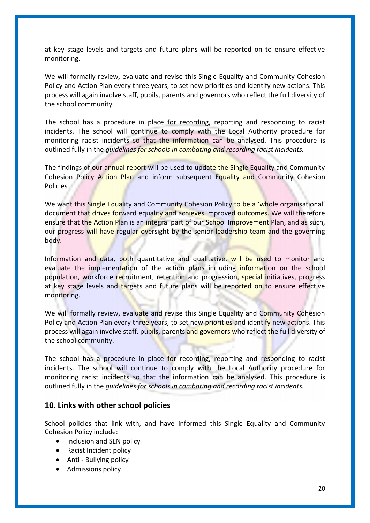at key stage levels and targets and future plans will be reported on to ensure effective monitoring.

We will formally review, evaluate and revise this Single Equality and Community Cohesion Policy and Action Plan every three years, to set new priorities and identify new actions. This process will again involve staff, pupils, parents and governors who reflect the full diversity of the school community.

The school has a procedure in place for recording, reporting and responding to racist incidents. The school will continue to comply with the Local Authority procedure for monitoring racist incidents so that the information can be analysed. This procedure is outlined fully in the *guidelines for schools in combating and recording racist incidents.*

The findings of our annual report will be used to update the Single Equality and Community Cohesion Policy Action Plan and inform subsequent Equality and Community Cohesion Policies

We want this Single Equality and Community Cohesion Policy to be a 'whole organisational' document that drives forward equality and achieves improved outcomes. We will therefore ensure that the Action Plan is an integral part of our School Improvement Plan, and as such, our progress will have regular oversight by the senior leadership team and the governing body.

Information and data, both quantitative and qualitative, will be used to monitor and evaluate the implementation of the action plans including information on the school population, workforce recruitment, retention and progression, special initiatives, progress at key stage levels and targets and future plans will be reported on to ensure effective monitoring.

We will formally review, evaluate and revise this Single Equality and Community Cohesion Policy and Action Plan every three years, to set new priorities and identify new actions. This process will again involve staff, pupils, parents and governors who reflect the full diversity of the school community.

The school has a procedure in place for recording, reporting and responding to racist incidents. The school will continue to comply with the Local Authority procedure for monitoring racist incidents so that the information can be analysed. This procedure is outlined fully in the *guidelines for schools in combating and recording racist incidents.*

# **10. Links with other school policies**

School policies that link with, and have informed this Single Equality and Community Cohesion Policy include:

- Inclusion and SEN policy
- Racist Incident policy
- Anti Bullving policy
- Admissions policy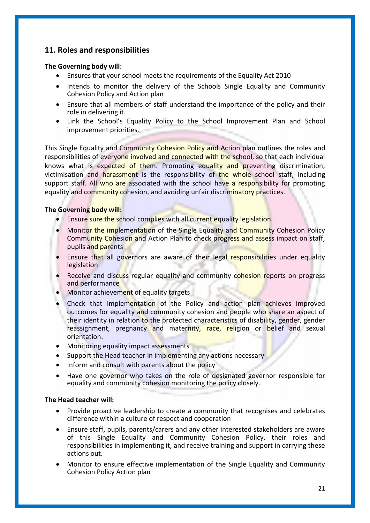# **11. Roles and responsibilities**

#### **The Governing body will:**

- Ensures that your school meets the requirements of the Equality Act 2010
- Intends to monitor the delivery of the Schools Single Equality and Community Cohesion Policy and Action plan
- Ensure that all members of staff understand the importance of the policy and their role in delivering it.
- Link the School's Equality Policy to the School Improvement Plan and School improvement priorities.

This Single Equality and Community Cohesion Policy and Action plan outlines the roles and responsibilities of everyone involved and connected with the school, so that each individual knows what is expected of them. Promoting equality and preventing discrimination, victimisation and harassment is the responsibility of the whole school staff, including support staff. All who are associated with the school have a responsibility for promoting equality and community cohesion, and avoiding unfair discriminatory practices.

# **The Governing body will:**

- Ensure sure the school complies with all current equality legislation.
- Monitor the implementation of the Single Equality and Community Cohesion Policy Community Cohesion and Action Plan to check progress and assess impact on staff, pupils and parents
- Ensure that all governors are aware of their legal responsibilities under equality legislation
- Receive and discuss regular equality and community cohesion reports on progress and performance
- Monitor achievement of equality targets
- Check that implementation of the Policy and action plan achieves improved outcomes for equality and community cohesion and people who share an aspect of their identity in relation to the protected characteristics of disability, gender, gender reassignment, pregnancy and maternity, race, religion or belief and sexual orientation.
- Monitoring equality impact assessments
- Support the Head teacher in implementing any actions necessary
- Inform and consult with parents about the policy
- Have one governor who takes on the role of designated governor responsible for equality and community cohesion monitoring the policy closely.

#### **The Head teacher will:**

- Provide proactive leadership to create a community that recognises and celebrates difference within a culture of respect and cooperation
- Ensure staff, pupils, parents/carers and any other interested stakeholders are aware of this Single Equality and Community Cohesion Policy, their roles and responsibilities in implementing it, and receive training and support in carrying these actions out.
- Monitor to ensure effective implementation of the Single Equality and Community Cohesion Policy Action plan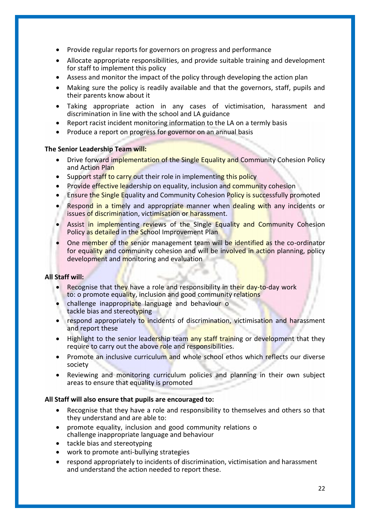- Provide regular reports for governors on progress and performance
- Allocate appropriate responsibilities, and provide suitable training and development for staff to implement this policy
- Assess and monitor the impact of the policy through developing the action plan
- Making sure the policy is readily available and that the governors, staff, pupils and their parents know about it
- Taking appropriate action in any cases of victimisation, harassment and discrimination in line with the school and LA guidance
- Report racist incident monitoring information to the LA on a termly basis
- Produce a report on progress for governor on an annual basis

# **The Senior Leadership Team will:**

- Drive forward implementation of the Single Equality and Community Cohesion Policy and Action Plan
- Support staff to carry out their role in implementing this policy
- Provide effective leadership on equality, inclusion and community cohesion
- **Ensure the Single Equality and Community Cohesion Policy is successfully promoted**
- Respond in a timely and appropriate manner when dealing with any incidents or issues of discrimination, victimisation or harassment.
- Assist in implementing reviews of the Single Equality and Community Cohesion Policy as detailed in the School Improvement Plan
- One member of the senior management team will be identified as the co-ordinator for equality and community cohesion and will be involved in action planning, policy development and monitoring and evaluation

# **All Staff will:**

- Recognise that they have a role and responsibility in their day-to-day work to: o promote equality, inclusion and good community relations
- challenge inappropriate language and behaviour o tackle bias and stereotyping
- respond appropriately to incidents of discrimination, victimisation and harassment and report these
- Highlight to the senior leadership team any staff training or development that they require to carry out the above role and responsibilities.
- Promote an inclusive curriculum and whole school ethos which reflects our diverse society
- Reviewing and monitoring curriculum policies and planning in their own subject areas to ensure that equality is promoted

# **All Staff will also ensure that pupils are encouraged to:**

- Recognise that they have a role and responsibility to themselves and others so that they understand and are able to:
- promote equality, inclusion and good community relations o challenge inappropriate language and behaviour
- tackle bias and stereotyping
- work to promote anti-bullying strategies
- respond appropriately to incidents of discrimination, victimisation and harassment and understand the action needed to report these.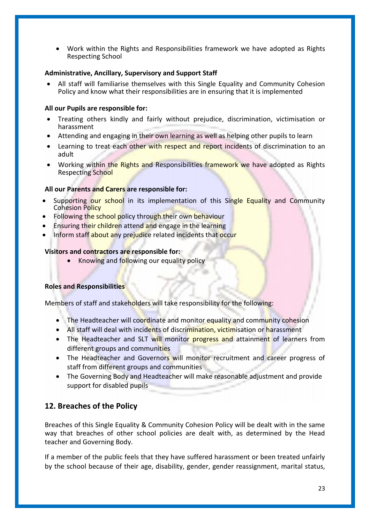Work within the Rights and Responsibilities framework we have adopted as Rights Respecting School

# **Administrative, Ancillary, Supervisory and Support Staff**

 All staff will familiarise themselves with this Single Equality and Community Cohesion Policy and know what their responsibilities are in ensuring that it is implemented

# **All our Pupils are responsible for:**

- Treating others kindly and fairly without prejudice, discrimination, victimisation or harassment
- Attending and engaging in their own learning as well as helping other pupils to learn
- Learning to treat each other with respect and report incidents of discrimination to an adult
- Working within the Rights and Responsibilities framework we have adopted as Rights Respecting School

# **All our Parents and Carers are responsible for:**

- Supporting our school in its implementation of this Single Equality and Community Cohesion Policy
- Following the school policy through their own behaviour
- Ensuring their children attend and engage in the learning
- Inform staff about any prejudice related incidents that occur

# **Visitors and contractors are responsible for:**

Knowing and following our equality policy

# **Roles and Responsibilities**

Members of staff and stakeholders will take responsibility for the following:

- The Headteacher will coordinate and monitor equality and community cohesion
- All staff will deal with incidents of discrimination, victimisation or harassment
- The Headteacher and SLT will monitor progress and attainment of learners from different groups and communities
- The Headteacher and Governors will monitor recruitment and career progress of staff from different groups and communities
- The Governing Body and Headteacher will make reasonable adjustment and provide support for disabled pupils

# **12. Breaches of the Policy**

Breaches of this Single Equality & Community Cohesion Policy will be dealt with in the same way that breaches of other school policies are dealt with, as determined by the Head teacher and Governing Body.

If a member of the public feels that they have suffered harassment or been treated unfairly by the school because of their age, disability, gender, gender reassignment, marital status,